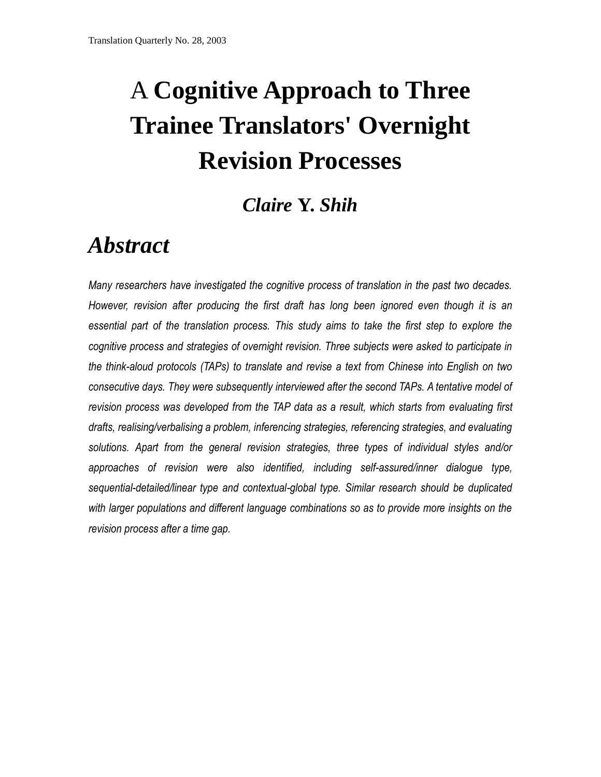# A **Cognitive Approach to Three Trainee Translators' Overnight Revision Processes**

# *Claire* **Y.** *Shih*

# *Abstract*

*Many researchers have investigated the cognitive process of translation in the past two decades. However, revision after producing the first draft has long been ignored even though it is an essential part of the translation process. This study aims to take the first step to explore the cognitive process and strategies of overnight revision. Three subjects were asked to participate in the think-aloud protocols (TAPs) to translate and revise a text from Chinese into English on two consecutive days. They were subsequently interviewed after the second TAPs. A tentative model of revision process was developed from the TAP data as a result, which starts from evaluating first drafts, realising/verbalising a problem, inferencing strategies, referencing strategies, and evaluating solutions. Apart from the general revision strategies, three types of individual styles and/or approaches of revision were also identified, including self-assured/inner dialogue type, sequential-detailed/linear type and contextual-global type. Similar research should be duplicated with larger populations and different language combinations so as to provide more insights on the revision process after a time gap.*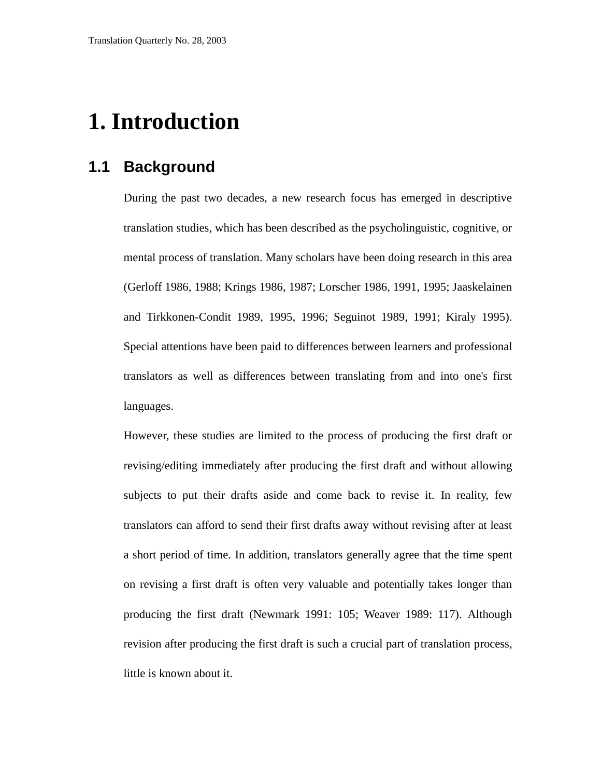# **1. Introduction**

### **1.1 Background**

During the past two decades, a new research focus has emerged in descriptive translation studies, which has been described as the psycholinguistic, cognitive, or mental process of translation. Many scholars have been doing research in this area (Gerloff 1986, 1988; Krings 1986, 1987; Lorscher 1986, 1991, 1995; Jaaskelainen and Tirkkonen-Condit 1989, 1995, 1996; Seguinot 1989, 1991; Kiraly 1995). Special attentions have been paid to differences between learners and professional translators as well as differences between translating from and into one's first languages.

However, these studies are limited to the process of producing the first draft or revising/editing immediately after producing the first draft and without allowing subjects to put their drafts aside and come back to revise it. In reality, few translators can afford to send their first drafts away without revising after at least a short period of time. In addition, translators generally agree that the time spent on revising a first draft is often very valuable and potentially takes longer than producing the first draft (Newmark 1991: 105; Weaver 1989: 117). Although revision after producing the first draft is such a crucial part of translation process, little is known about it.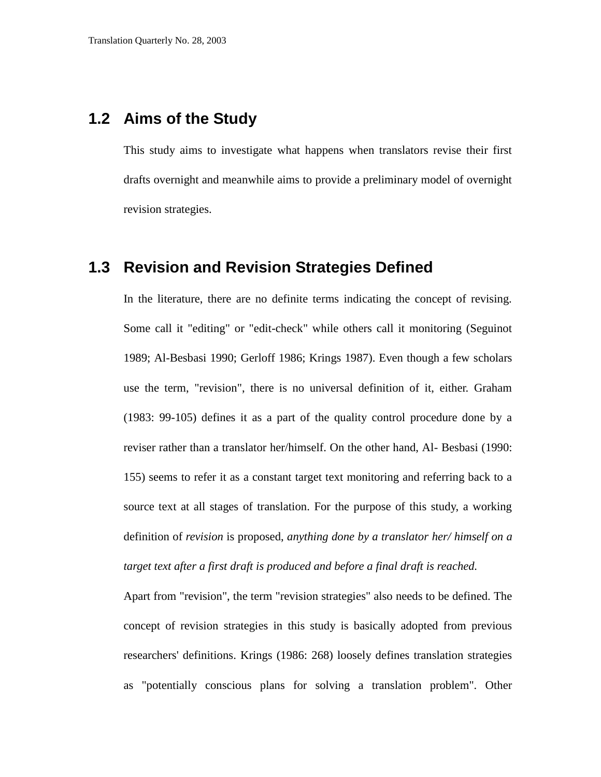### **1.2 Aims of the Study**

This study aims to investigate what happens when translators revise their first drafts overnight and meanwhile aims to provide a preliminary model of overnight revision strategies.

#### **1.3 Revision and Revision Strategies Defined**

In the literature, there are no definite terms indicating the concept of revising. Some call it "editing" or "edit-check" while others call it monitoring (Seguinot 1989; Al-Besbasi 1990; Gerloff 1986; Krings 1987). Even though a few scholars use the term, "revision", there is no universal definition of it, either. Graham (1983: 99-105) defines it as a part of the quality control procedure done by a reviser rather than a translator her/himself. On the other hand, Al- Besbasi (1990: 155) seems to refer it as a constant target text monitoring and referring back to a source text at all stages of translation. For the purpose of this study, a working definition of *revision* is proposed, *anything done by a translator her/ himself on a target text after a first draft is produced and before a final draft is reached.*

Apart from "revision", the term "revision strategies" also needs to be defined. The concept of revision strategies in this study is basically adopted from previous researchers' definitions. Krings (1986: 268) loosely defines translation strategies as "potentially conscious plans for solving a translation problem". Other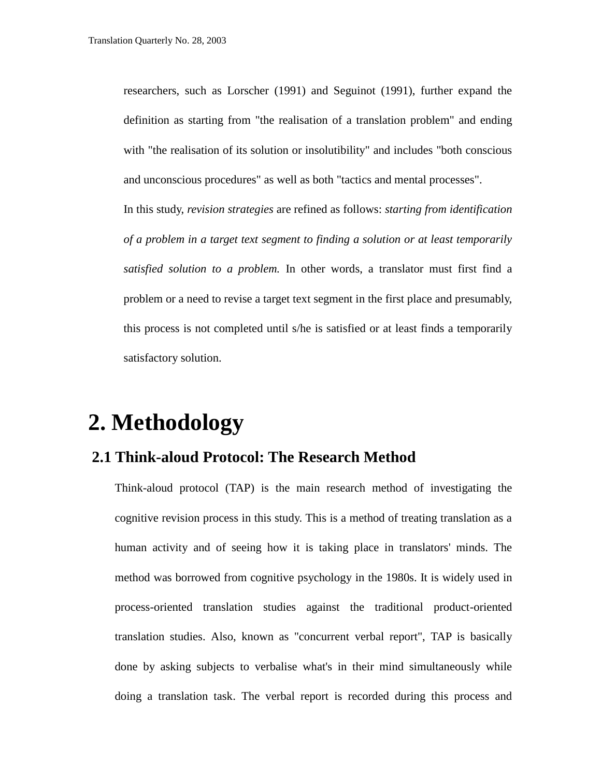researchers, such as Lorscher (1991) and Seguinot (1991), further expand the definition as starting from "the realisation of a translation problem" and ending with "the realisation of its solution or insolutibility" and includes "both conscious and unconscious procedures" as well as both "tactics and mental processes". In this study, *revision strategies* are refined as follows: *starting from identification of a problem in a target text segment to finding a solution or at least temporarily satisfied solution to a problem.* In other words, a translator must first find a problem or a need to revise a target text segment in the first place and presumably, this process is not completed until s/he is satisfied or at least finds a temporarily satisfactory solution.

# **2. Methodology**

### **2.1 Think-aloud Protocol: The Research Method**

Think-aloud protocol (TAP) is the main research method of investigating the cognitive revision process in this study. This is a method of treating translation as a human activity and of seeing how it is taking place in translators' minds. The method was borrowed from cognitive psychology in the 1980s. It is widely used in process-oriented translation studies against the traditional product-oriented translation studies. Also, known as "concurrent verbal report", TAP is basically done by asking subjects to verbalise what's in their mind simultaneously while doing a translation task. The verbal report is recorded during this process and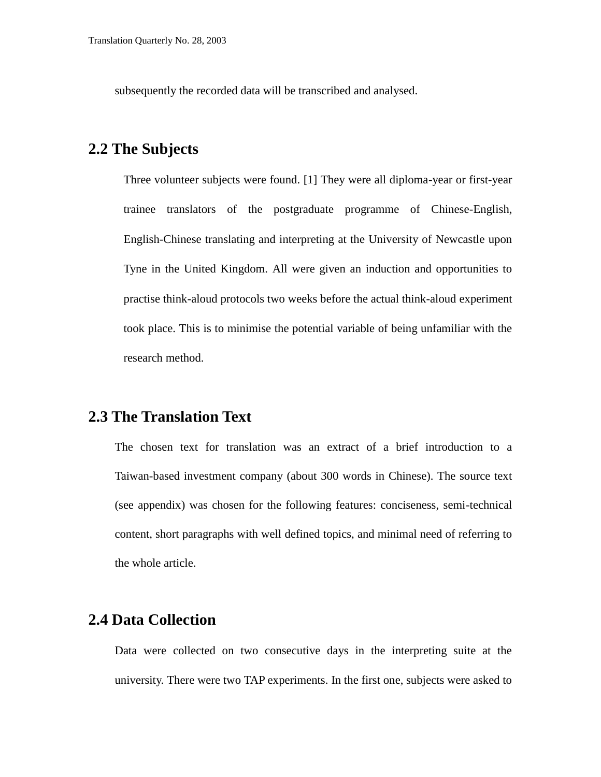subsequently the recorded data will be transcribed and analysed.

#### **2.2 The Subjects**

Three volunteer subjects were found. [1] They were all diploma-year or first-year trainee translators of the postgraduate programme of Chinese-English, English-Chinese translating and interpreting at the University of Newcastle upon Tyne in the United Kingdom. All were given an induction and opportunities to practise think-aloud protocols two weeks before the actual think-aloud experiment took place. This is to minimise the potential variable of being unfamiliar with the research method.

#### **2.3 The Translation Text**

The chosen text for translation was an extract of a brief introduction to a Taiwan-based investment company (about 300 words in Chinese). The source text (see appendix) was chosen for the following features: conciseness, semi-technical content, short paragraphs with well defined topics, and minimal need of referring to the whole article.

### **2.4 Data Collection**

Data were collected on two consecutive days in the interpreting suite at the university. There were two TAP experiments. In the first one, subjects were asked to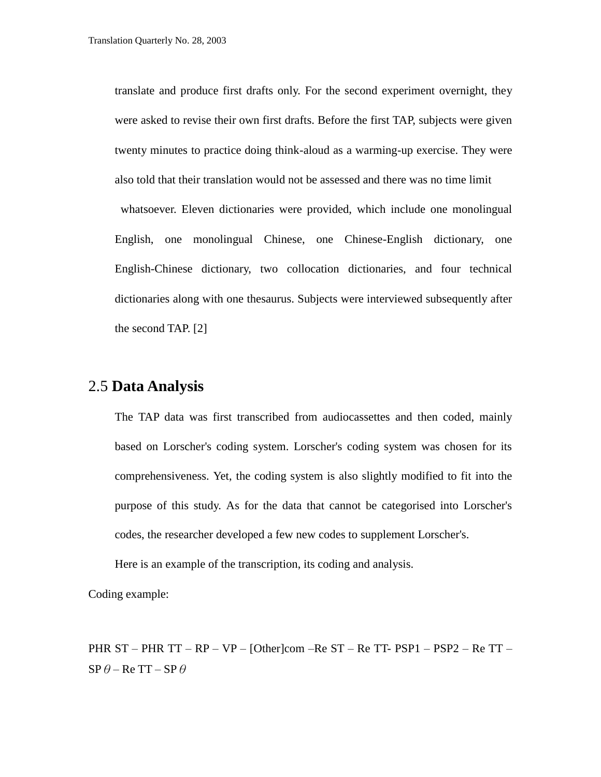translate and produce first drafts only. For the second experiment overnight, they were asked to revise their own first drafts. Before the first TAP, subjects were given twenty minutes to practice doing think-aloud as a warming-up exercise. They were also told that their translation would not be assessed and there was no time limit whatsoever. Eleven dictionaries were provided, which include one monolingual English, one monolingual Chinese, one Chinese-English dictionary, one English-Chinese dictionary, two collocation dictionaries, and four technical dictionaries along with one thesaurus. Subjects were interviewed subsequently after the second TAP. [2]

#### 2.5 **Data Analysis**

The TAP data was first transcribed from audiocassettes and then coded, mainly based on Lorscher's coding system. Lorscher's coding system was chosen for its comprehensiveness. Yet, the coding system is also slightly modified to fit into the purpose of this study. As for the data that cannot be categorised into Lorscher's codes, the researcher developed a few new codes to supplement Lorscher's.

Here is an example of the transcription, its coding and analysis.

Coding example:

PHR ST – PHR TT – RP – VP – [Other]com –Re ST – Re TT- PSP1 – PSP2 – Re TT –  $SP \theta - Re TT - SP \theta$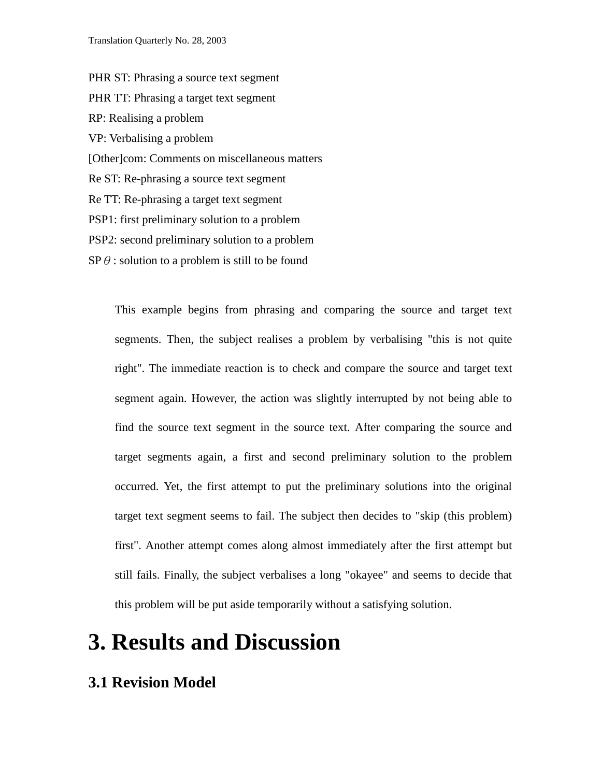PHR ST: Phrasing a source text segment PHR TT: Phrasing a target text segment RP: Realising a problem VP: Verbalising a problem [Other]com: Comments on miscellaneous matters Re ST: Re-phrasing a source text segment Re TT: Re-phrasing a target text segment PSP1: first preliminary solution to a problem PSP2: second preliminary solution to a problem  $\text{SP} \theta$ : solution to a problem is still to be found

> This example begins from phrasing and comparing the source and target text segments. Then, the subject realises a problem by verbalising "this is not quite right". The immediate reaction is to check and compare the source and target text segment again. However, the action was slightly interrupted by not being able to find the source text segment in the source text. After comparing the source and target segments again, a first and second preliminary solution to the problem occurred. Yet, the first attempt to put the preliminary solutions into the original target text segment seems to fail. The subject then decides to "skip (this problem) first". Another attempt comes along almost immediately after the first attempt but still fails. Finally, the subject verbalises a long "okayee" and seems to decide that this problem will be put aside temporarily without a satisfying solution.

# **3. Results and Discussion**

#### **3.1 Revision Model**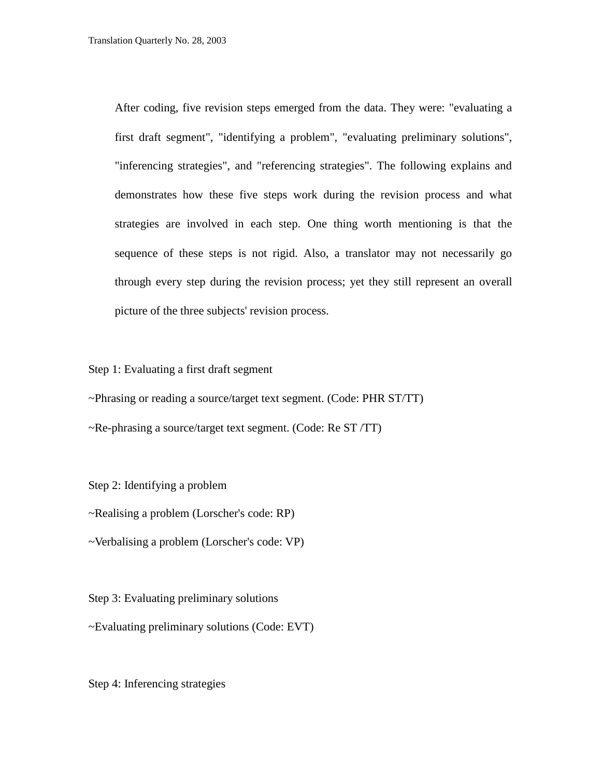After coding, five revision steps emerged from the data. They were: "evaluating a first draft segment", "identifying a problem", "evaluating preliminary solutions", "inferencing strategies", and "referencing strategies". The following explains and demonstrates how these five steps work during the revision process and what strategies are involved in each step. One thing worth mentioning is that the sequence of these steps is not rigid. Also, a translator may not necessarily go through every step during the revision process; yet they still represent an overall picture of the three subjects' revision process.

Step 1: Evaluating a first draft segment

~Phrasing or reading a source/target text segment. (Code: PHR ST/TT)

~Re-phrasing a source/target text segment. (Code: Re ST /TT)

Step 2: Identifying a problem

~Realising a problem (Lorscher's code: RP)

~Verbalising a problem (Lorscher's code: VP)

Step 3: Evaluating preliminary solutions

~Evaluating preliminary solutions (Code: EVT)

Step 4: Inferencing strategies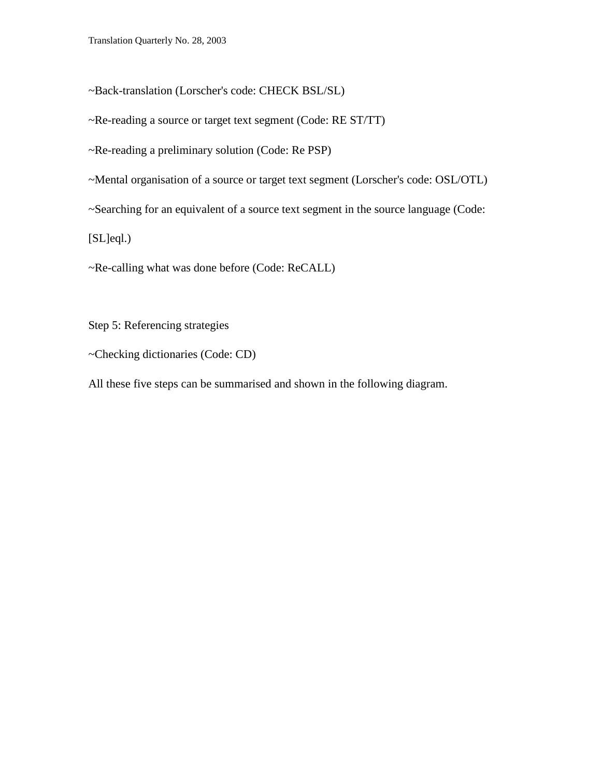~Back-translation (Lorscher's code: CHECK BSL/SL)

~Re-reading a source or target text segment (Code: RE ST/TT)

~Re-reading a preliminary solution (Code: Re PSP)

~Mental organisation of a source or target text segment (Lorscher's code: OSL/OTL)

~Searching for an equivalent of a source text segment in the source language (Code:

 $[SL]$ eql.)

~Re-calling what was done before (Code: ReCALL)

Step 5: Referencing strategies

~Checking dictionaries (Code: CD)

All these five steps can be summarised and shown in the following diagram.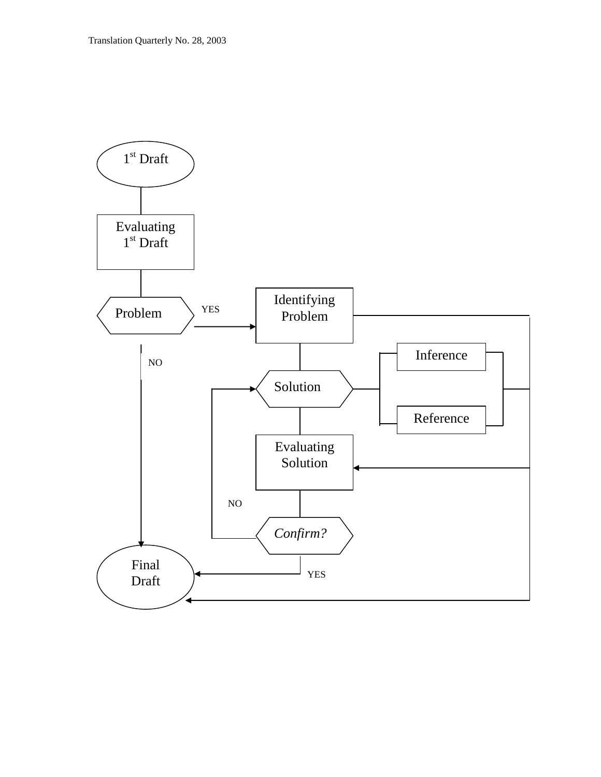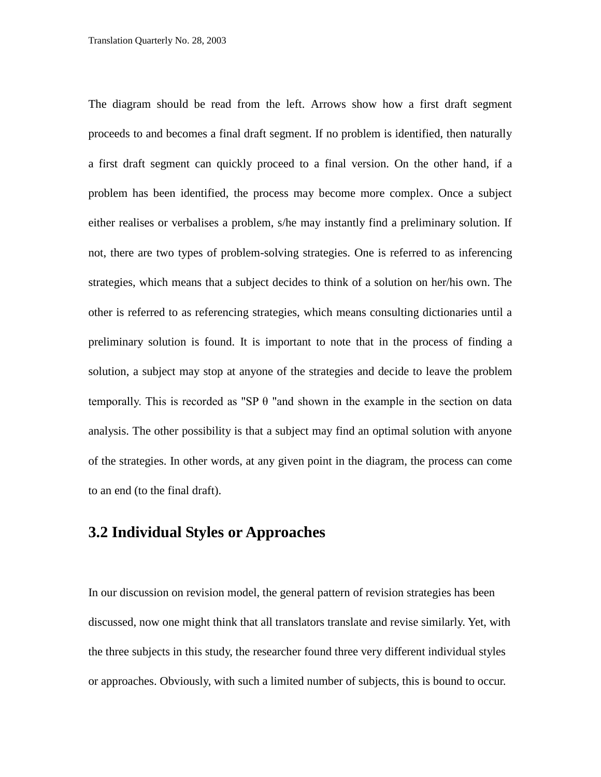The diagram should be read from the left. Arrows show how a first draft segment proceeds to and becomes a final draft segment. If no problem is identified, then naturally a first draft segment can quickly proceed to a final version. On the other hand, if a problem has been identified, the process may become more complex. Once a subject either realises or verbalises a problem, s/he may instantly find a preliminary solution. If not, there are two types of problem-solving strategies. One is referred to as inferencing strategies, which means that a subject decides to think of a solution on her/his own. The other is referred to as referencing strategies, which means consulting dictionaries until a preliminary solution is found. It is important to note that in the process of finding a solution, a subject may stop at anyone of the strategies and decide to leave the problem temporally. This is recorded as "SP  $\theta$  "and shown in the example in the section on data analysis. The other possibility is that a subject may find an optimal solution with anyone of the strategies. In other words, at any given point in the diagram, the process can come to an end (to the final draft).

#### **3.2 Individual Styles or Approaches**

In our discussion on revision model, the general pattern of revision strategies has been discussed, now one might think that all translators translate and revise similarly. Yet, with the three subjects in this study, the researcher found three very different individual styles or approaches. Obviously, with such a limited number of subjects, this is bound to occur.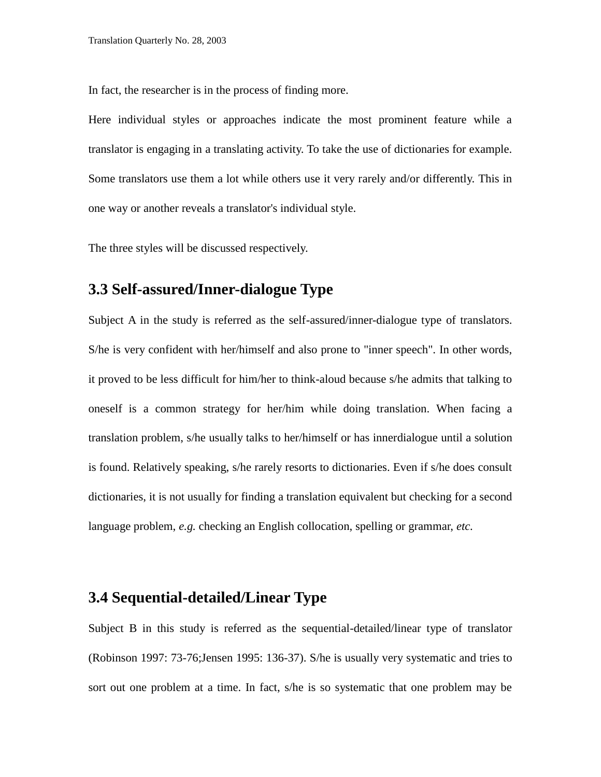In fact, the researcher is in the process of finding more.

Here individual styles or approaches indicate the most prominent feature while a translator is engaging in a translating activity. To take the use of dictionaries for example. Some translators use them a lot while others use it very rarely and/or differently. This in one way or another reveals a translator's individual style.

The three styles will be discussed respectively.

### **3.3 Self-assured/Inner-dialogue Type**

Subject A in the study is referred as the self-assured/inner-dialogue type of translators. S/he is very confident with her/himself and also prone to "inner speech". In other words, it proved to be less difficult for him/her to think-aloud because s/he admits that talking to oneself is a common strategy for her/him while doing translation. When facing a translation problem, s/he usually talks to her/himself or has innerdialogue until a solution is found. Relatively speaking, s/he rarely resorts to dictionaries. Even if s/he does consult dictionaries, it is not usually for finding a translation equivalent but checking for a second language problem, *e.g.* checking an English collocation, spelling or grammar, *etc.*

### **3.4 Sequential-detailed/Linear Type**

Subject B in this study is referred as the sequential-detailed/linear type of translator (Robinson 1997: 73-76;Jensen 1995: 136-37). S/he is usually very systematic and tries to sort out one problem at a time. In fact, s/he is so systematic that one problem may be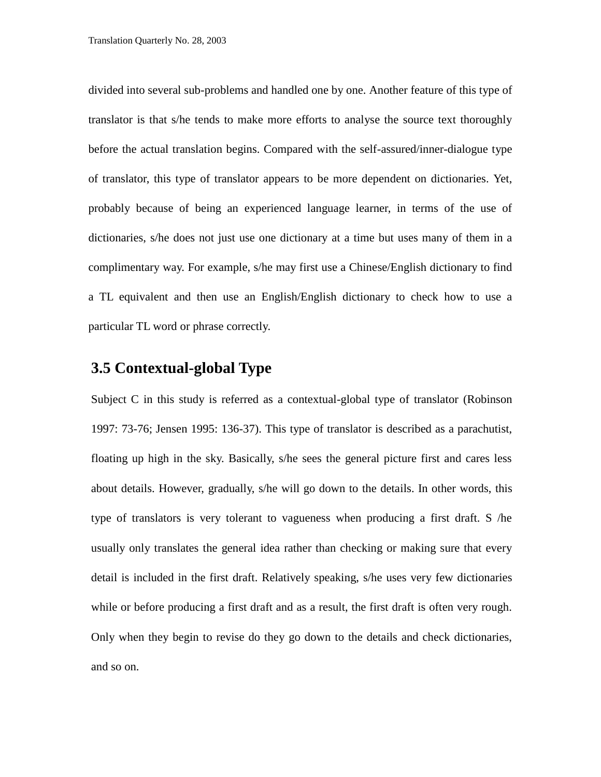divided into several sub-problems and handled one by one. Another feature of this type of translator is that s/he tends to make more efforts to analyse the source text thoroughly before the actual translation begins. Compared with the self-assured/inner-dialogue type of translator, this type of translator appears to be more dependent on dictionaries. Yet, probably because of being an experienced language learner, in terms of the use of dictionaries, s/he does not just use one dictionary at a time but uses many of them in a complimentary way. For example, s/he may first use a Chinese/English dictionary to find a TL equivalent and then use an English/English dictionary to check how to use a particular TL word or phrase correctly.

#### **3.5 Contextual-global Type**

Subject C in this study is referred as a contextual-global type of translator (Robinson 1997: 73-76; Jensen 1995: 136-37). This type of translator is described as a parachutist, floating up high in the sky. Basically, s/he sees the general picture first and cares less about details. However, gradually, s/he will go down to the details. In other words, this type of translators is very tolerant to vagueness when producing a first draft. S /he usually only translates the general idea rather than checking or making sure that every detail is included in the first draft. Relatively speaking, s/he uses very few dictionaries while or before producing a first draft and as a result, the first draft is often very rough. Only when they begin to revise do they go down to the details and check dictionaries, and so on.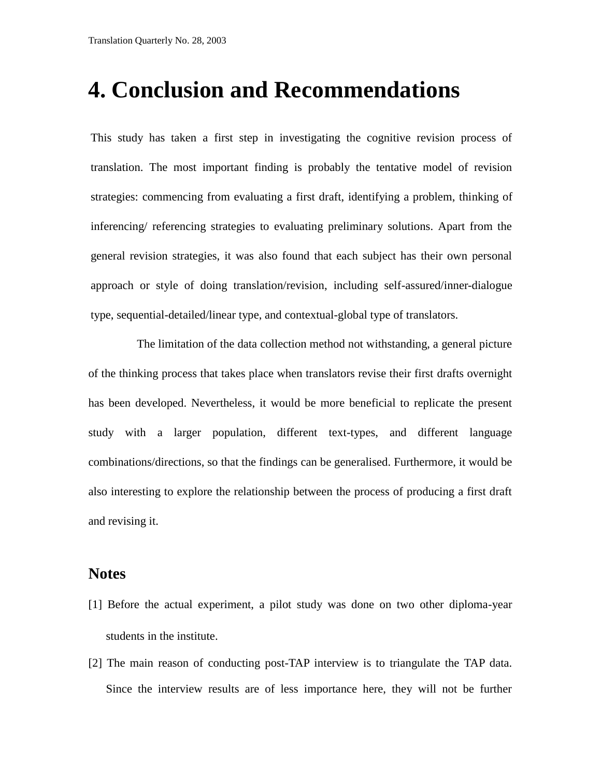# **4. Conclusion and Recommendations**

This study has taken a first step in investigating the cognitive revision process of translation. The most important finding is probably the tentative model of revision strategies: commencing from evaluating a first draft, identifying a problem, thinking of inferencing/ referencing strategies to evaluating preliminary solutions. Apart from the general revision strategies, it was also found that each subject has their own personal approach or style of doing translation/revision, including self-assured/inner-dialogue type, sequential-detailed/linear type, and contextual-global type of translators.

The limitation of the data collection method not withstanding, a general picture of the thinking process that takes place when translators revise their first drafts overnight has been developed. Nevertheless, it would be more beneficial to replicate the present study with a larger population, different text-types, and different language combinations/directions, so that the findings can be generalised. Furthermore, it would be also interesting to explore the relationship between the process of producing a first draft and revising it.

#### **Notes**

- [1] Before the actual experiment, a pilot study was done on two other diploma-year students in the institute.
- [2] The main reason of conducting post-TAP interview is to triangulate the TAP data. Since the interview results are of less importance here, they will not be further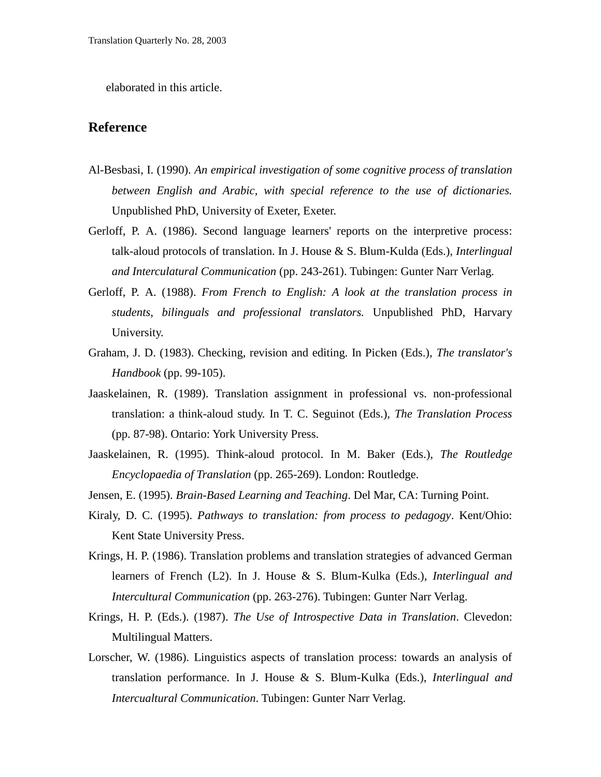elaborated in this article.

#### **Reference**

- Al-Besbasi, I. (1990). *An empirical investigation of some cognitive process of translation between English and Arabic, with special reference to the use of dictionaries.* Unpublished PhD, University of Exeter, Exeter.
- Gerloff, P. A. (1986). Second language learners' reports on the interpretive process: talk-aloud protocols of translation. In J. House & S. Blum-Kulda (Eds.), *Interlingual and Interculatural Communication* (pp. 243-261). Tubingen: Gunter Narr Verlag.
- Gerloff, P. A. (1988). *From French to English: A look at the translation process in students, bilinguals and professional translators.* Unpublished PhD, Harvary University.
- Graham, J. D. (1983). Checking, revision and editing. In Picken (Eds.), *The translator's Handbook* (pp. 99-105).
- Jaaskelainen, R. (1989). Translation assignment in professional vs. non-professional translation: a think-aloud study. In T. C. Seguinot (Eds.), *The Translation Process* (pp. 87-98). Ontario: York University Press.
- Jaaskelainen, R. (1995). Think-aloud protocol. In M. Baker (Eds.), *The Routledge Encyclopaedia of Translation* (pp. 265-269). London: Routledge.
- Jensen, E. (1995). *Brain-Based Learning and Teaching*. Del Mar, CA: Turning Point.
- Kiraly, D. C. (1995). *Pathways to translation: from process to pedagogy*. Kent/Ohio: Kent State University Press.
- Krings, H. P. (1986). Translation problems and translation strategies of advanced German learners of French (L2). In J. House & S. Blum-Kulka (Eds.), *Interlingual and Intercultural Communication* (pp. 263-276). Tubingen: Gunter Narr Verlag.
- Krings, H. P. (Eds.). (1987). *The Use of Introspective Data in Translation*. Clevedon: Multilingual Matters.
- Lorscher, W. (1986). Linguistics aspects of translation process: towards an analysis of translation performance. In J. House & S. Blum-Kulka (Eds.), *Interlingual and Intercualtural Communication*. Tubingen: Gunter Narr Verlag.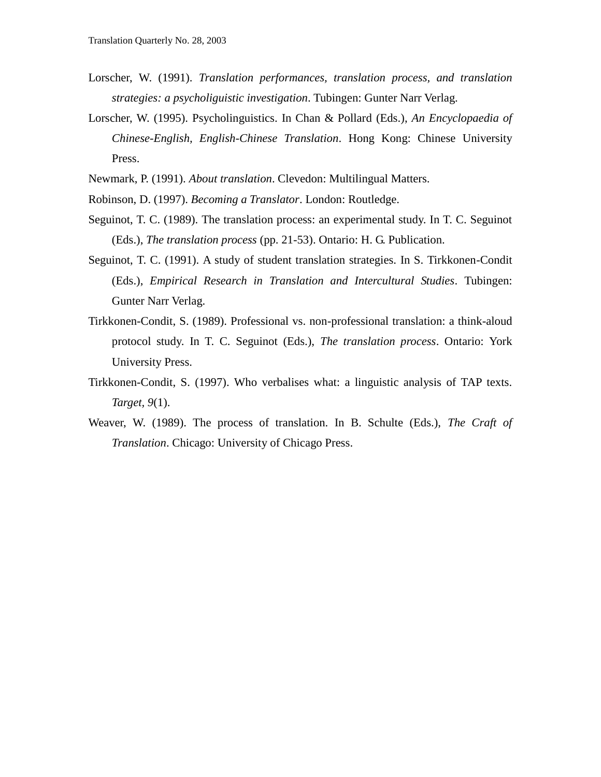- Lorscher, W. (1991). *Translation performances, translation process, and translation strategies: a psycholiguistic investigation*. Tubingen: Gunter Narr Verlag.
- Lorscher, W. (1995). Psycholinguistics. In Chan & Pollard (Eds.), *An Encyclopaedia of Chinese-English, English-Chinese Translation*. Hong Kong: Chinese University Press.
- Newmark, P. (1991). *About translation*. Clevedon: Multilingual Matters.
- Robinson, D. (1997). *Becoming a Translator*. London: Routledge.
- Seguinot, T. C. (1989). The translation process: an experimental study. In T. C. Seguinot (Eds.), *The translation process* (pp. 21-53). Ontario: H. G. Publication.
- Seguinot, T. C. (1991). A study of student translation strategies. In S. Tirkkonen-Condit (Eds.), *Empirical Research in Translation and Intercultural Studies*. Tubingen: Gunter Narr Verlag.
- Tirkkonen-Condit, S. (1989). Professional vs. non-professional translation: a think-aloud protocol study. In T. C. Seguinot (Eds.), *The translation process*. Ontario: York University Press.
- Tirkkonen-Condit, S. (1997). Who verbalises what: a linguistic analysis of TAP texts. *Target, 9*(1).
- Weaver, W. (1989). The process of translation. In B. Schulte (Eds.), *The Craft of Translation*. Chicago: University of Chicago Press.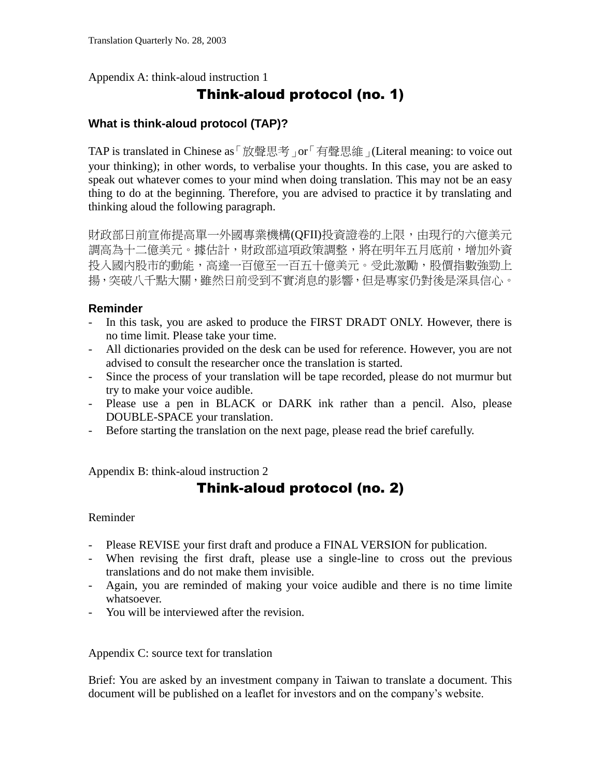Appendix A: think-aloud instruction 1

## Think-aloud protocol (no. 1)

#### **What is think-aloud protocol (TAP)?**

TAP is translated in Chinese as「放聲思考」or「有聲思維」(Literal meaning: to voice out your thinking); in other words, to verbalise your thoughts. In this case, you are asked to speak out whatever comes to your mind when doing translation. This may not be an easy thing to do at the beginning. Therefore, you are advised to practice it by translating and thinking aloud the following paragraph.

財政部日前宣佈提高單一外國專業機構(QFII)投資證卷的上限,由現行的六億美元 調高為十二億美元。據估計,財政部這項政策調整,將在明年五月底前,增加外資 投入國內股市的動能,高達一百億至一百五十億美元。受此激勵,股價指數強勁上 揚,突破八千點大關,雖然日前受到不實消息的影響,但是專家仍對後是深具信心。

#### **Reminder**

- In this task, you are asked to produce the FIRST DRADT ONLY. However, there is no time limit. Please take your time.
- All dictionaries provided on the desk can be used for reference. However, you are not advised to consult the researcher once the translation is started.
- Since the process of your translation will be tape recorded, please do not murmur but try to make your voice audible.
- Please use a pen in BLACK or DARK ink rather than a pencil. Also, please DOUBLE-SPACE your translation.
- Before starting the translation on the next page, please read the brief carefully.

Appendix B: think-aloud instruction 2

## Think-aloud protocol (no. 2)

Reminder

- Please REVISE your first draft and produce a FINAL VERSION for publication.
- When revising the first draft, please use a single-line to cross out the previous translations and do not make them invisible.
- Again, you are reminded of making your voice audible and there is no time limite whatsoever.
- You will be interviewed after the revision.

Appendix C: source text for translation

Brief: You are asked by an investment company in Taiwan to translate a document. This document will be published on a leaflet for investors and on the company's website.